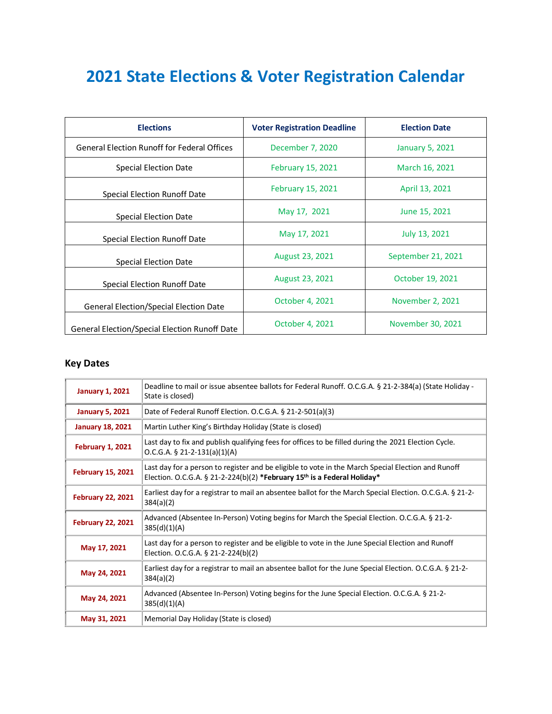## **2021 State Elections & Voter Registration Calendar**

| <b>Elections</b>                                   | <b>Voter Registration Deadline</b> | <b>Election Date</b>   |
|----------------------------------------------------|------------------------------------|------------------------|
| <b>General Election Runoff for Federal Offices</b> | December 7, 2020                   | <b>January 5, 2021</b> |
| Special Election Date                              | <b>February 15, 2021</b>           | March 16, 2021         |
| Special Election Runoff Date                       | February 15, 2021                  | April 13, 2021         |
| Special Election Date                              | May 17, 2021                       | June 15, 2021          |
| Special Election Runoff Date                       | May 17, 2021                       | July 13, 2021          |
| Special Election Date                              | <b>August 23, 2021</b>             | September 21, 2021     |
| Special Election Runoff Date                       | <b>August 23, 2021</b>             | October 19, 2021       |
| <b>General Election/Special Election Date</b>      | October 4, 2021                    | November 2, 2021       |
| General Election/Special Election Runoff Date      | October 4, 2021                    | November 30, 2021      |

## **Key Dates**

| <b>January 1, 2021</b>   | Deadline to mail or issue absentee ballots for Federal Runoff. O.C.G.A. § 21-2-384(a) (State Holiday -<br>State is closed)                                                                 |  |
|--------------------------|--------------------------------------------------------------------------------------------------------------------------------------------------------------------------------------------|--|
| <b>January 5, 2021</b>   | Date of Federal Runoff Election. O.C.G.A. § 21-2-501(a)(3)                                                                                                                                 |  |
| <b>January 18, 2021</b>  | Martin Luther King's Birthday Holiday (State is closed)                                                                                                                                    |  |
| <b>February 1, 2021</b>  | Last day to fix and publish qualifying fees for offices to be filled during the 2021 Election Cycle.<br>$O.C.G.A. § 21-2-131(a)(1)(A)$                                                     |  |
| <b>February 15, 2021</b> | Last day for a person to register and be eligible to vote in the March Special Election and Runoff<br>Election. O.C.G.A. § 21-2-224(b)(2) *February 15 <sup>th</sup> is a Federal Holiday* |  |
| <b>February 22, 2021</b> | Earliest day for a registrar to mail an absentee ballot for the March Special Election. O.C.G.A. § 21-2-<br>384(a)(2)                                                                      |  |
| <b>February 22, 2021</b> | Advanced (Absentee In-Person) Voting begins for March the Special Election. O.C.G.A. § 21-2-<br>385(d)(1)(A)                                                                               |  |
| May 17, 2021             | Last day for a person to register and be eligible to vote in the June Special Election and Runoff<br>Election. O.C.G.A. § 21-2-224(b)(2)                                                   |  |
| May 24, 2021             | Earliest day for a registrar to mail an absentee ballot for the June Special Election. O.C.G.A. § 21-2-<br>384(a)(2)                                                                       |  |
| May 24, 2021             | Advanced (Absentee In-Person) Voting begins for the June Special Election. O.C.G.A. § 21-2-<br>385(d)(1)(A)                                                                                |  |
| May 31, 2021             | Memorial Day Holiday (State is closed)                                                                                                                                                     |  |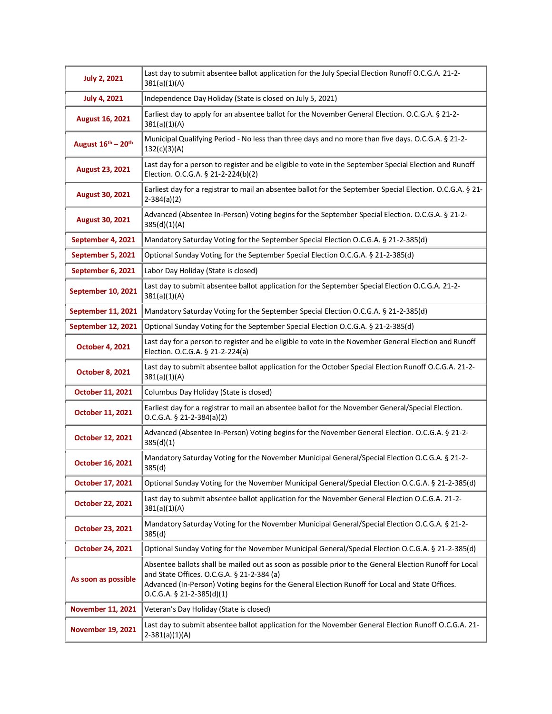| <b>July 2, 2021</b>       | Last day to submit absentee ballot application for the July Special Election Runoff O.C.G.A. 21-2-<br>381(a)(1)(A)                                                                                                                                                                      |  |
|---------------------------|-----------------------------------------------------------------------------------------------------------------------------------------------------------------------------------------------------------------------------------------------------------------------------------------|--|
| <b>July 4, 2021</b>       | Independence Day Holiday (State is closed on July 5, 2021)                                                                                                                                                                                                                              |  |
| August 16, 2021           | Earliest day to apply for an absentee ballot for the November General Election. O.C.G.A. § 21-2-<br>381(a)(1)(A)                                                                                                                                                                        |  |
| August 16th - 20th        | Municipal Qualifying Period - No less than three days and no more than five days. O.C.G.A. § 21-2-<br>132(c)(3)(A)                                                                                                                                                                      |  |
| <b>August 23, 2021</b>    | Last day for a person to register and be eligible to vote in the September Special Election and Runoff<br>Election. O.C.G.A. § 21-2-224(b)(2)                                                                                                                                           |  |
| <b>August 30, 2021</b>    | Earliest day for a registrar to mail an absentee ballot for the September Special Election. O.C.G.A. § 21-<br>$2 - 384(a)(2)$                                                                                                                                                           |  |
| August 30, 2021           | Advanced (Absentee In-Person) Voting begins for the September Special Election. O.C.G.A. § 21-2-<br>385(d)(1)(A)                                                                                                                                                                        |  |
| September 4, 2021         | Mandatory Saturday Voting for the September Special Election O.C.G.A. § 21-2-385(d)                                                                                                                                                                                                     |  |
| September 5, 2021         | Optional Sunday Voting for the September Special Election O.C.G.A. § 21-2-385(d)                                                                                                                                                                                                        |  |
| September 6, 2021         | Labor Day Holiday (State is closed)                                                                                                                                                                                                                                                     |  |
| <b>September 10, 2021</b> | Last day to submit absentee ballot application for the September Special Election O.C.G.A. 21-2-<br>381(a)(1)(A)                                                                                                                                                                        |  |
| <b>September 11, 2021</b> | Mandatory Saturday Voting for the September Special Election O.C.G.A. § 21-2-385(d)                                                                                                                                                                                                     |  |
| <b>September 12, 2021</b> | Optional Sunday Voting for the September Special Election O.C.G.A. § 21-2-385(d)                                                                                                                                                                                                        |  |
| <b>October 4, 2021</b>    | Last day for a person to register and be eligible to vote in the November General Election and Runoff<br>Election. O.C.G.A. § 21-2-224(a)                                                                                                                                               |  |
| <b>October 8, 2021</b>    | Last day to submit absentee ballot application for the October Special Election Runoff O.C.G.A. 21-2-<br>381(a)(1)(A)                                                                                                                                                                   |  |
| October 11, 2021          | Columbus Day Holiday (State is closed)                                                                                                                                                                                                                                                  |  |
| October 11, 2021          | Earliest day for a registrar to mail an absentee ballot for the November General/Special Election.<br>O.C.G.A. § 21-2-384(a)(2)                                                                                                                                                         |  |
| October 12, 2021          | Advanced (Absentee In-Person) Voting begins for the November General Election. O.C.G.A. § 21-2-<br>385(d)(1)                                                                                                                                                                            |  |
| October 16, 2021          | Mandatory Saturday Voting for the November Municipal General/Special Election O.C.G.A. § 21-2-<br>385(d)                                                                                                                                                                                |  |
| <b>October 17, 2021</b>   | Optional Sunday Voting for the November Municipal General/Special Election O.C.G.A. § 21-2-385(d)                                                                                                                                                                                       |  |
| October 22, 2021          | Last day to submit absentee ballot application for the November General Election O.C.G.A. 21-2-<br>381(a)(1)(A)                                                                                                                                                                         |  |
| <b>October 23, 2021</b>   | Mandatory Saturday Voting for the November Municipal General/Special Election O.C.G.A. § 21-2-<br>385(d)                                                                                                                                                                                |  |
| <b>October 24, 2021</b>   | Optional Sunday Voting for the November Municipal General/Special Election O.C.G.A. § 21-2-385(d)                                                                                                                                                                                       |  |
| As soon as possible       | Absentee ballots shall be mailed out as soon as possible prior to the General Election Runoff for Local<br>and State Offices. O.C.G.A. § 21-2-384 (a)<br>Advanced (In-Person) Voting begins for the General Election Runoff for Local and State Offices.<br>$O.C.G.A. § 21-2-385(d)(1)$ |  |
| <b>November 11, 2021</b>  | Veteran's Day Holiday (State is closed)                                                                                                                                                                                                                                                 |  |
| <b>November 19, 2021</b>  | Last day to submit absentee ballot application for the November General Election Runoff O.C.G.A. 21-<br>$2-381(a)(1)(A)$                                                                                                                                                                |  |